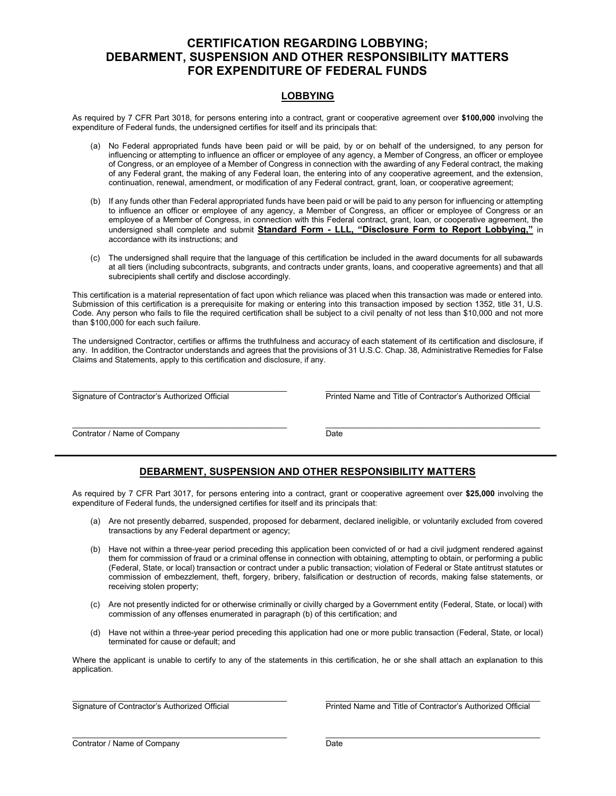# CERTIFICATION REGARDING LOBBYING; DEBARMENT, SUSPENSION AND OTHER RESPONSIBILITY MATTERS FOR EXPENDITURE OF FEDERAL FUNDS

#### LOBBYING

As required by 7 CFR Part 3018, for persons entering into a contract, grant or cooperative agreement over \$100,000 involving the expenditure of Federal funds, the undersigned certifies for itself and its principals that:

- (a) No Federal appropriated funds have been paid or will be paid, by or on behalf of the undersigned, to any person for influencing or attempting to influence an officer or employee of any agency, a Member of Congress, an officer or employee of Congress, or an employee of a Member of Congress in connection with the awarding of any Federal contract, the making of any Federal grant, the making of any Federal loan, the entering into of any cooperative agreement, and the extension, continuation, renewal, amendment, or modification of any Federal contract, grant, loan, or cooperative agreement;
- (b) If any funds other than Federal appropriated funds have been paid or will be paid to any person for influencing or attempting to influence an officer or employee of any agency, a Member of Congress, an officer or employee of Congress or an employee of a Member of Congress, in connection with this Federal contract, grant, loan, or cooperative agreement, the undersigned shall complete and submit Standard Form - LLL, "Disclosure Form to Report Lobbying," in accordance with its instructions; and
- (c) The undersigned shall require that the language of this certification be included in the award documents for all subawards at all tiers (including subcontracts, subgrants, and contracts under grants, loans, and cooperative agreements) and that all subrecipients shall certify and disclose accordingly.

This certification is a material representation of fact upon which reliance was placed when this transaction was made or entered into. Submission of this certification is a prerequisite for making or entering into this transaction imposed by section 1352, title 31, U.S. Code. Any person who fails to file the required certification shall be subject to a civil penalty of not less than \$10,000 and not more than \$100,000 for each such failure.

The undersigned Contractor, certifies or affirms the truthfulness and accuracy of each statement of its certification and disclosure, if any. In addition, the Contractor understands and agrees that the provisions of 31 U.S.C. Chap. 38, Administrative Remedies for False Claims and Statements, apply to this certification and disclosure, if any.

 $\mathcal{L}_\text{max}$ 

Signature of Contractor's Authorized Official Printed Name and Title of Contractor's Authorized Official

\_\_\_\_\_\_\_\_\_\_\_\_\_\_\_\_\_\_\_\_\_\_\_\_\_\_\_\_\_\_\_\_\_\_\_\_\_\_\_\_\_\_\_\_\_\_\_\_ \_\_\_\_\_\_\_\_\_\_\_\_\_\_\_\_\_\_\_\_\_\_\_\_\_\_\_\_\_\_\_\_\_\_\_\_\_\_\_\_\_\_\_\_\_\_\_\_ **Contrator / Name of Company Date** 

### DEBARMENT, SUSPENSION AND OTHER RESPONSIBILITY MATTERS

As required by 7 CFR Part 3017, for persons entering into a contract, grant or cooperative agreement over \$25,000 involving the expenditure of Federal funds, the undersigned certifies for itself and its principals that:

- (a) Are not presently debarred, suspended, proposed for debarment, declared ineligible, or voluntarily excluded from covered transactions by any Federal department or agency;
- (b) Have not within a three-year period preceding this application been convicted of or had a civil judgment rendered against them for commission of fraud or a criminal offense in connection with obtaining, attempting to obtain, or performing a public (Federal, State, or local) transaction or contract under a public transaction; violation of Federal or State antitrust statutes or commission of embezzlement, theft, forgery, bribery, falsification or destruction of records, making false statements, or receiving stolen property;
- (c) Are not presently indicted for or otherwise criminally or civilly charged by a Government entity (Federal, State, or local) with commission of any offenses enumerated in paragraph (b) of this certification; and
- (d) Have not within a three-year period preceding this application had one or more public transaction (Federal, State, or local) terminated for cause or default; and

Where the applicant is unable to certify to any of the statements in this certification, he or she shall attach an explanation to this application.

\_\_\_\_\_\_\_\_\_\_\_\_\_\_\_\_\_\_\_\_\_\_\_\_\_\_\_\_\_\_\_\_\_\_\_\_\_\_\_\_\_\_\_\_\_\_\_\_ \_\_\_\_\_\_\_\_\_\_\_\_\_\_\_\_\_\_\_\_\_\_\_\_\_\_\_\_\_\_\_\_\_\_\_\_\_\_\_\_\_\_\_\_\_\_\_\_ Signature of Contractor's Authorized Official Printed Name and Title of Contractor's Authorized Official

| Contrator / Name of Company | Date |
|-----------------------------|------|
|                             |      |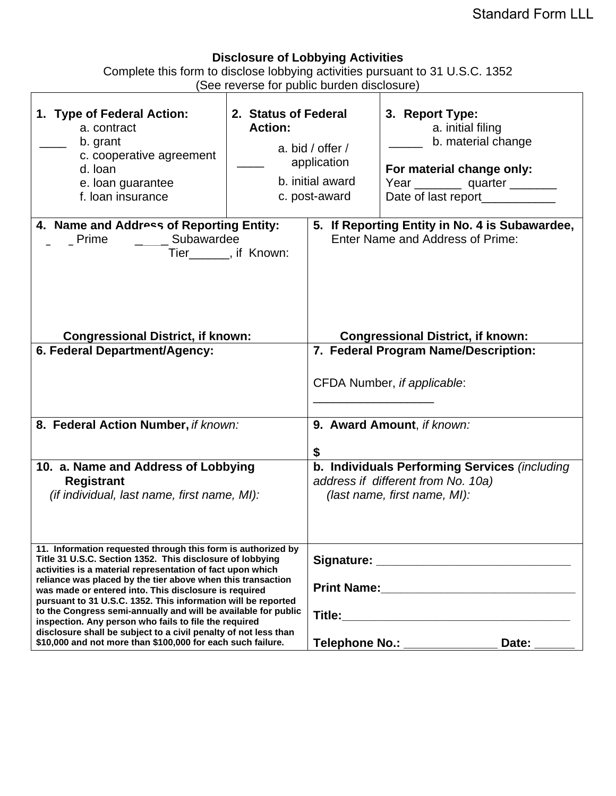# **Disclosure of Lobbying Activities**

Complete this form to disclose lobbying activities pursuant to 31 U.S.C. 1352 (See reverse for public burden disclosure)

 $\overline{1}$ 

| 1. Type of Federal Action:<br>a. contract<br>b. grant<br>c. cooperative agreement<br>d. loan<br>e. loan guarantee<br>f. Ioan insurance                                                                                                                                                                                                                                                                                                                                                                                                                                                                                                        | 2. Status of Federal<br><b>Action:</b> | a. bid / offer /<br>application<br>b. initial award<br>c. post-award                                                | 3. Report Type:<br>a. initial filing<br>b. material change<br>For material change only:<br>Year ____________ quarter _________<br>Date of last report___________ |  |
|-----------------------------------------------------------------------------------------------------------------------------------------------------------------------------------------------------------------------------------------------------------------------------------------------------------------------------------------------------------------------------------------------------------------------------------------------------------------------------------------------------------------------------------------------------------------------------------------------------------------------------------------------|----------------------------------------|---------------------------------------------------------------------------------------------------------------------|------------------------------------------------------------------------------------------------------------------------------------------------------------------|--|
| 4. Name and Address of Reporting Entity:<br>_ Prime ___ _ _ Subawardee<br>Tier_______, if Known:                                                                                                                                                                                                                                                                                                                                                                                                                                                                                                                                              |                                        | 5. If Reporting Entity in No. 4 is Subawardee,<br>Enter Name and Address of Prime:                                  |                                                                                                                                                                  |  |
| <b>Congressional District, if known:</b><br>6. Federal Department/Agency:                                                                                                                                                                                                                                                                                                                                                                                                                                                                                                                                                                     |                                        |                                                                                                                     | <b>Congressional District, if known:</b><br>7. Federal Program Name/Description:<br>CFDA Number, if applicable:                                                  |  |
| 8. Federal Action Number, if known:                                                                                                                                                                                                                                                                                                                                                                                                                                                                                                                                                                                                           |                                        | 9. Award Amount, if known:<br>\$                                                                                    |                                                                                                                                                                  |  |
| 10. a. Name and Address of Lobbying<br><b>Registrant</b><br>(if individual, last name, first name, MI):                                                                                                                                                                                                                                                                                                                                                                                                                                                                                                                                       |                                        | b. Individuals Performing Services (including<br>address if different from No. 10a)<br>(last name, first name, MI): |                                                                                                                                                                  |  |
| 11. Information requested through this form is authorized by<br>Title 31 U.S.C. Section 1352. This disclosure of lobbying<br>activities is a material representation of fact upon which<br>reliance was placed by the tier above when this transaction<br>was made or entered into. This disclosure is required<br>pursuant to 31 U.S.C. 1352. This information will be reported<br>to the Congress semi-annually and will be available for public<br>inspection. Any person who fails to file the required<br>disclosure shall be subject to a civil penalty of not less than<br>\$10,000 and not more than \$100,000 for each such failure. |                                        | Signature: Signature:<br>Telephone No.: _____________<br>Date:                                                      |                                                                                                                                                                  |  |